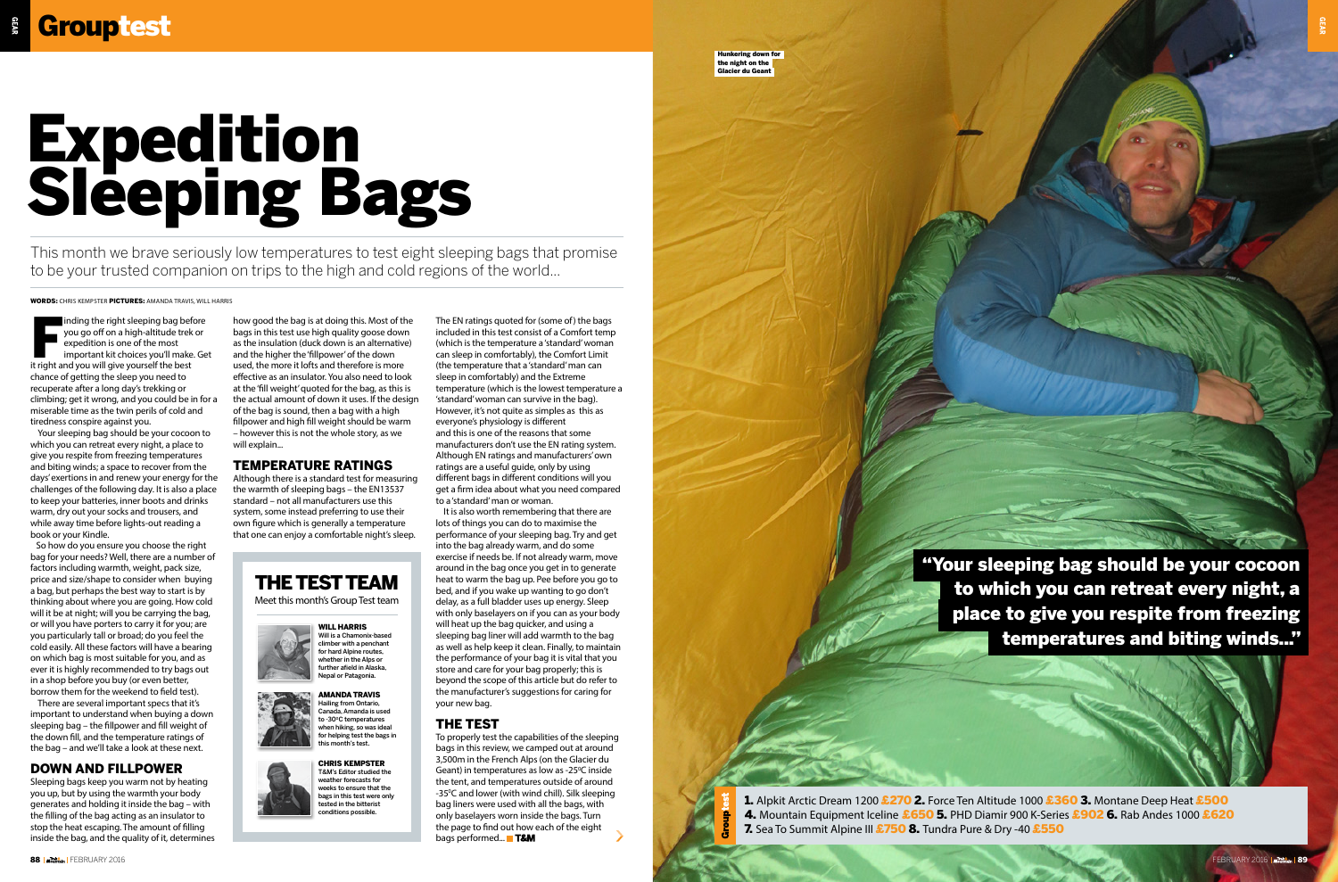inding the right sleeping bag bef<br>you go off on a high-altitude trek<br>expedition is one of the most<br>important kit choices you'll make<br>it right and you will give yourself the best Inding the right sleeping bag before you go off on a high-altitude trek or expedition is one of the most important kit choices you'll make. Get chance of getting the sleep you need to recuperate after a long day's trekking or climbing; get it wrong, and you could be in for a miserable time as the twin perils of cold and tiredness conspire against you.

 Your sleeping bag should be your cocoon to which you can retreat every night, a place to give you respite from freezing temperatures and biting winds; a space to recover from the days' exertions in and renew your energy for the challenges of the following day. It is also a place to keep your batteries, inner boots and drinks warm, dry out your socks and trousers, and while away time before lights-out reading a book or your Kindle.

 So how do you ensure you choose the right bag for your needs? Well, there are a number of factors including warmth, weight, pack size, price and size/shape to consider when buying a bag, but perhaps the best way to start is by thinking about where you are going. How cold will it be at night; will you be carrying the bag, or will you have porters to carry it for you; are you particularly tall or broad; do you feel the cold easily. All these factors will have a bearing on which bag is most suitable for you, and as ever it is highly recommended to try bags out in a shop before you buy (or even better, borrow them for the weekend to field test).

 There are several important specs that it's important to understand when buying a down sleeping bag – the fillpower and fill weight of the down fill, and the temperature ratings of the bag – and we'll take a look at these next.

### DOWN AND FILLPOWER

Sleeping bags keep you warm not by heating you up, but by using the warmth your body generates and holding it inside the bag – with the filling of the bag acting as an insulator to stop the heat escaping. The amount of filling inside the bag, and the quality of it, determines To properly test the capabilities of the sleeping bags in this review, we camped out at around 3,500m in the French Alps (on the Glacier du Geant) in temperatures as low as -25°C inside the tent, and temperatures outside of around -35°C and lower (with wind chill). Silk sleeping bag liners were used with all the bags, with only baselayers worn inside the bags. Turn the page to find out how each of the eight bags performed... T&M

how good the bag is at doing this. Most of the bags in this test use high quality goose down as the insulation (duck down is an alternative) and the higher the 'fillpower' of the down used, the more it lofts and therefore is more effective as an insulator. You also need to look at the 'fill weight' quoted for the bag, as this is the actual amount of down it uses. If the design of the bag is sound, then a bag with a high fillpower and high fill weight should be warm – however this is not the whole story, as we

### TEMPERATURE RATINGS

will explain...

Although there is a standard test for measuring the warmth of sleeping bags – the EN13537 standard – not all manufacturers use this system, some instead preferring to use their own figure which is generally a temperature that one can enjoy a comfortable night's sleep.

unkering down for the night on the Glacier du Geant

1. Alpkit Arctic Dream 1200 £270 2. Force Ten Altitude 1000 £360 3. Montane Deep Heat £500 4. Mountain Equipment Iceline £650 5. PHD Diamir 900 K-Series £902 6. Rab Andes 1000 £620 7. Sea To Summit Alpine III £750 8. Tundra Pure & Dry -40 £550

# Expedition Sleeping Bags

The EN ratings quoted for (some of) the bags included in this test consist of a Comfort temp (which is the temperature a 'standard' woman can sleep in comfortably), the Comfort Limit (the temperature that a 'standard' man can sleep in comfortably) and the Extreme temperature (which is the lowest temperature a 'standard' woman can survive in the bag). However, it's not quite as simples as this as everyone's physiology is different and this is one of the reasons that some manufacturers don't use the EN rating system. Although EN ratings and manufacturers' own ratings are a useful guide, only by using different bags in different conditions will you get a firm idea about what you need compared to a 'standard' man or woman.

 It is also worth remembering that there are lots of things you can do to maximise the performance of your sleeping bag. Try and get into the bag already warm, and do some exercise if needs be. If not already warm, move around in the bag once you get in to generate heat to warm the bag up. Pee before you go to bed, and if you wake up wanting to go don't delay, as a full bladder uses up energy. Sleep with only baselayers on if you can as your body will heat up the bag quicker, and using a sleeping bag liner will add warmth to the bag as well as help keep it clean. Finally, to maintain the performance of your bag it is vital that you store and care for your bag properly; this is beyond the scope of this article but do refer to the manufacturer's suggestions for caring for your new bag.

### THE TEST

"Your sleeping bag should be your cocoon to which you can retreat every night, a place to give you respite from freezing temperatures and biting winds..."

This month we brave seriously low temperatures to test eight sleeping bags that promise to be your trusted companion on trips to the high and cold regions of the world...

WORDS: CHRIS KEMPSTER PICTURES: AMANDA TRAVIS, WILL HARRIS



 $\frac{1}{10}$  is month's test. CHRIS KEMPSTER T&M's Editor studied the weather forecasts for weeks to ensure that the ags in this test were only tested in the bitterist ons possible

for helping test the bags in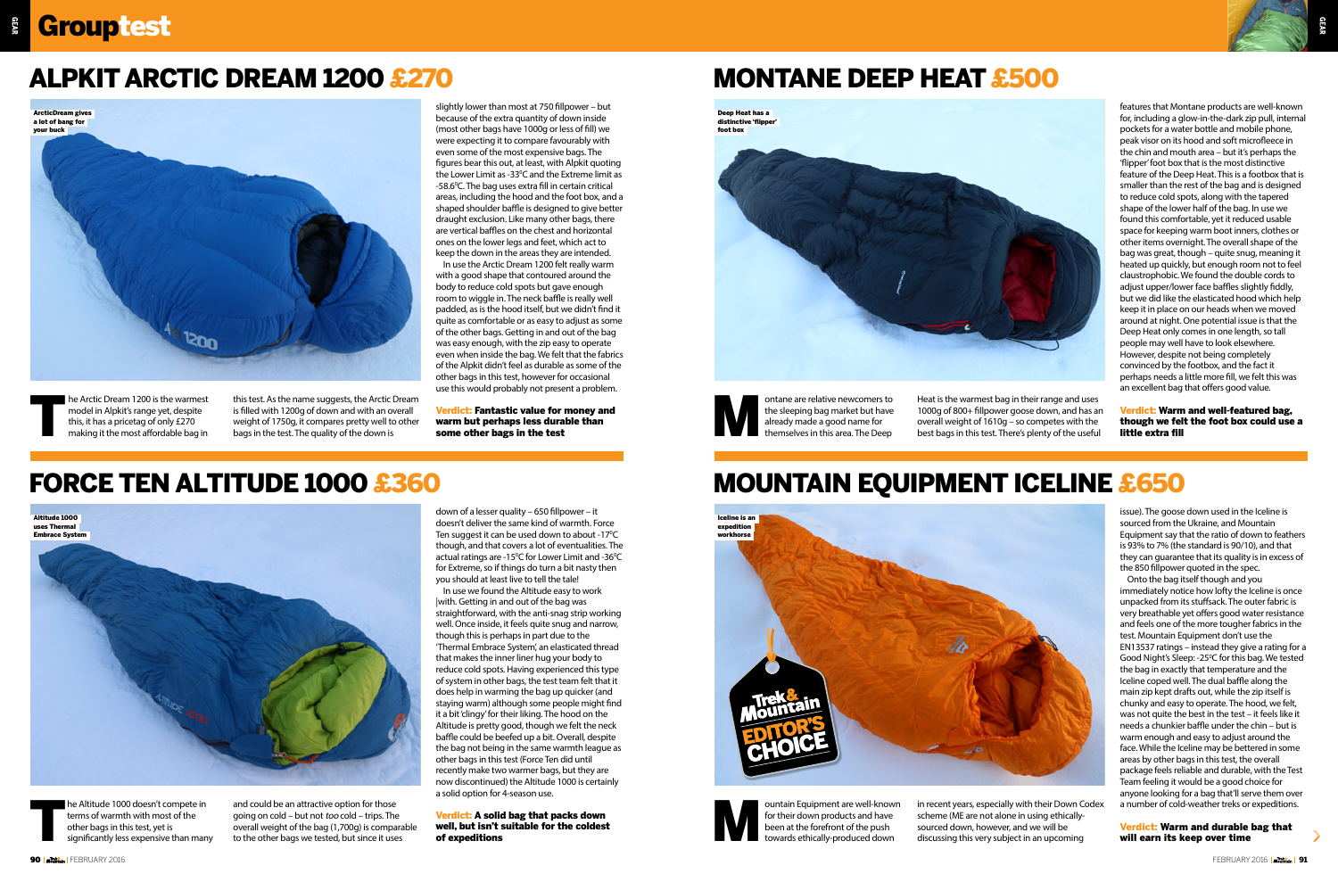# **Grouptest**

### ALPKIT ARCTIC DREAM 1200 £270 MONTANE DEEP HEAT £500



ontane are relative newcomers to<br>the sleeping bag market but have<br>already made a good name for<br>themselves in this area. The Deep the sleeping bag market but have

### FORCE TEN ALTITUDE 1000 £360 MOUNTAIN EQUIPMENT ICELINE £650

he Altitude 1000 doesn't compete in terms of warmth with most of the other bags in this test, yet is significantly less expensive than many

be Altitude 1000 doesn't compete in and could be an attractive option for those of the push of the push of the push of the push of the push of expeditions of expeditions of expeditions of expeditions of expeditions of expe and could be an attractive option for those going on cold – but not too cold – trips. The overall weight of the bag (1,700g) is comparable to the other bags we tested, but since it uses

he Arctic Dream 1200 is the warmest model in Alpkit's range yet, despite this, it has a pricetag of only £270 making it the most affordable bag in

The Arctic Dream 1200 is the warmest this test. As the name suggests, the Arctic Dream<br>model in Alpkit's range yet, despite is filled with 1200g of down and with an overall<br>this, it has a pricetag of only £270 weight of 17 this test. As the name suggests, the Arctic Dream is filled with 1200g of down and with an overall weight of 1750g, it compares pretty well to other bags in the test. The quality of the down is

in recent years, especially with their Down Codex scheme (ME are not alone in using ethicallysourced down, however, and we will be discussing this very subject in an upcoming

Heat is the warmest bag in their range and uses 1000g of 800+ fillpower goose down, and has an overall weight of 1610g – so competes with the best bags in this test. There's plenty of the useful





Deep Heat has a – – –<br>distinctive 'flipper' foot box





issue). The goose down used in the Iceline is sourced from the Ukraine, and Mountain Equipment say that the ratio of down to feathers is 93% to 7% (the standard is 90/10), and that they can guarantee that its quality is in excess of the 850 fillpower quoted in the spec.

 Onto the bag itself though and you immediately notice how lofty the Iceline is once unpacked from its stuffsack. The outer fabric is very breathable yet offers good water resistance and feels one of the more tougher fabrics in the test. Mountain Equipment don't use the EN13537 ratings – instead they give a rating for a Good Night's Sleep: -25°C for this bag. We tested the bag in exactly that temperature and the Iceline coped well. The dual baffle along the main zip kept drafts out, while the zip itself is chunky and easy to operate. The hood, we felt, was not quite the best in the test – it feels like it needs a chunkier baffle under the chin – but is warm enough and easy to adjust around the face. While the Iceline may be bettered in some areas by other bags in this test, the overall package feels reliable and durable, with the Test Team feeling it would be a good choice for anyone looking for a bag that'll serve them over a number of cold-weather treks or expeditions.

Verdict: Warm and durable bag that will earn its keep over time

down of a lesser quality – 650 fillpower – it doesn't deliver the same kind of warmth. Force Ten suggest it can be used down to about -17<sup>o</sup>C though, and that covers a lot of eventualities. The actual ratings are -15°C for Lower Limit and -36°C for Extreme, so if things do turn a bit nasty then you should at least live to tell the tale!

 In use we found the Altitude easy to work |with. Getting in and out of the bag was straightforward, with the anti-snag strip working well. Once inside, it feels quite snug and narrow, though this is perhaps in part due to the 'Thermal Embrace System', an elasticated thread that makes the inner liner hug your body to reduce cold spots. Having experienced this type of system in other bags, the test team felt that it does help in warming the bag up quicker (and staying warm) although some people might find it a bit 'clingy' for their liking. The hood on the Altitude is pretty good, though we felt the neck baffle could be beefed up a bit. Overall, despite the bag not being in the same warmth league as other bags in this test (Force Ten did until recently make two warmer bags, but they are now discontinued) the Altitude 1000 is certainly a solid option for 4-season use.

Verdict: A solid bag that packs down well, but isn't suitable for the coldest of expeditions

features that Montane products are well-known for, including a glow-in-the-dark zip pull, internal pockets for a water bottle and mobile phone, peak visor on its hood and soft microfleece in the chin and mouth area – but it's perhaps the 'flipper' foot box that is the most distinctive feature of the Deep Heat. This is a footbox that is smaller than the rest of the bag and is designed to reduce cold spots, along with the tapered shape of the lower half of the bag. In use we found this comfortable, yet it reduced usable space for keeping warm boot inners, clothes or other items overnight. The overall shape of the bag was great, though – quite snug, meaning it heated up quickly, but enough room not to feel claustrophobic. We found the double cords to adjust upper/lower face baffles slightly fiddly, but we did like the elasticated hood which help keep it in place on our heads when we moved around at night. One potential issue is that the Deep Heat only comes in one length, so tall people may well have to look elsewhere. However, despite not being completely convinced by the footbox, and the fact it perhaps needs a little more fill, we felt this was an excellent bag that offers good value.

Verdict: Warm and well-featured bag, though we felt the foot box could use a little extra fill

slightly lower than most at 750 fillpower – but because of the extra quantity of down inside (most other bags have 1000g or less of fill) we were expecting it to compare favourably with even some of the most expensive bags. The figures bear this out, at least, with Alpkit quoting the Lower Limit as -33 $^{\circ}$ C and the Extreme limit as -58.60 C. The bag uses extra fill in certain critical areas, including the hood and the foot box, and a shaped shoulder baffle is designed to give better draught exclusion. Like many other bags, there are vertical baffles on the chest and horizontal ones on the lower legs and feet, which act to keep the down in the areas they are intended.

 In use the Arctic Dream 1200 felt really warm with a good shape that contoured around the body to reduce cold spots but gave enough room to wiggle in. The neck baffle is really well padded, as is the hood itself, but we didn't find it quite as comfortable or as easy to adjust as some of the other bags. Getting in and out of the bag was easy enough, with the zip easy to operate even when inside the bag. We felt that the fabrics of the Alpkit didn't feel as durable as some of the other bags in this test, however for occasional use this would probably not present a problem.

Verdict: Fantastic value for money and warm but perhaps less durable than some other bags in the test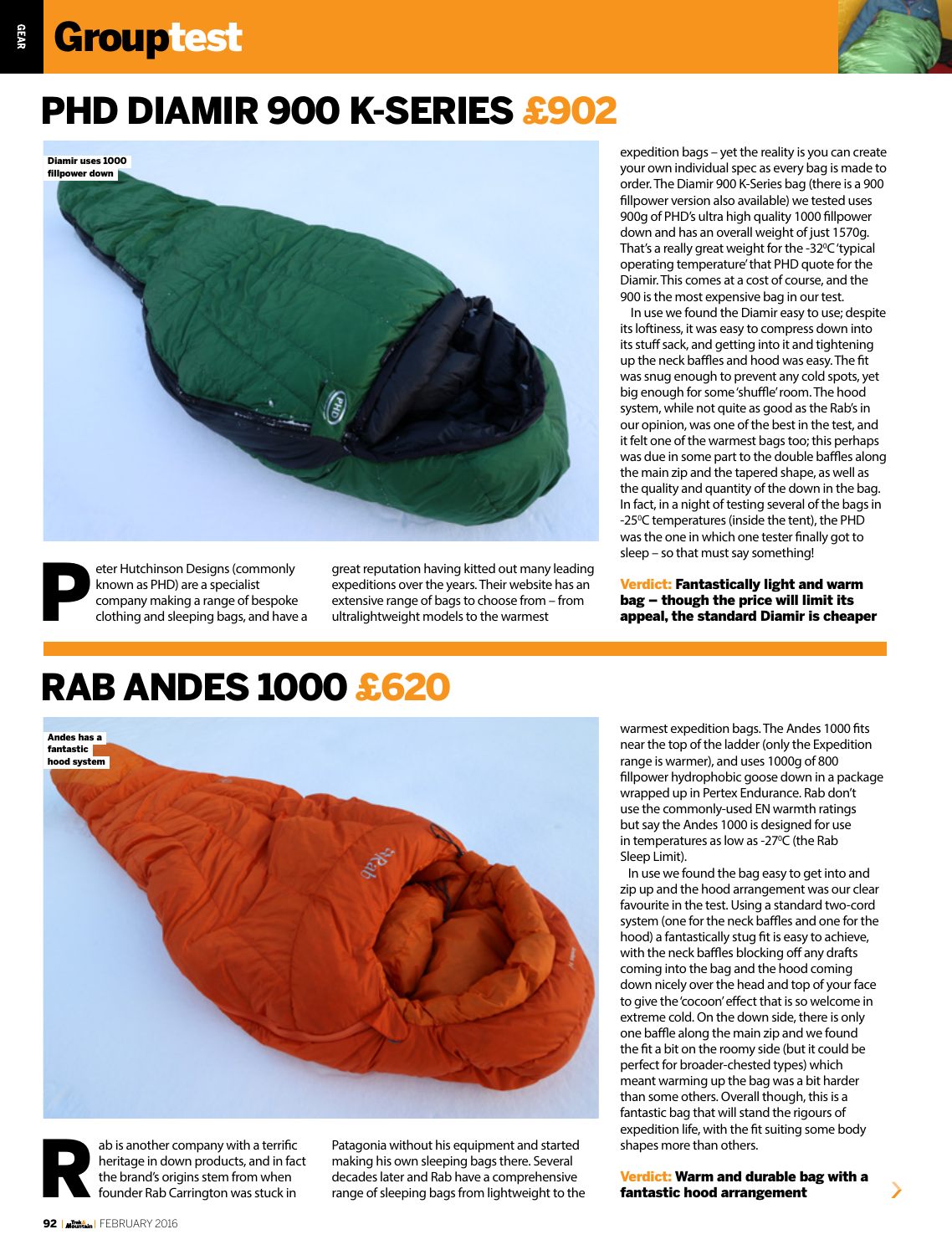# **Grouptest**



## PHD DIAMIR 900 K-SERIES £902



GEAR



eter Hutchinson Designs (commonly<br>known as PHD) are a specialist<br>company making a range of bespoke<br>clothing and sleeping bags, and have known as PHD) are a specialist company making a range of bespoke clothing and sleeping bags, and have a

great reputation having kitted out many leading expeditions over the years. Their website has an extensive range of bags to choose from – from ultralightweight models to the warmest

expedition bags – yet the reality is you can create your own individual spec as every bag is made to order. The Diamir 900 K-Series bag (there is a 900 fillpower version also available) we tested uses 900g of PHD's ultra high quality 1000 fillpower down and has an overall weight of just 1570g. That's a really great weight for the -32°C 'typical operating temperature' that PHD quote for the Diamir. This comes at a cost of course, and the 900 is the most expensive bag in our test.

 In use we found the Diamir easy to use; despite its loftiness, it was easy to compress down into its stuff sack, and getting into it and tightening up the neck baffles and hood was easy. The fit was snug enough to prevent any cold spots, yet big enough for some 'shuffle' room. The hood system, while not quite as good as the Rab's in our opinion, was one of the best in the test, and it felt one of the warmest bags too; this perhaps was due in some part to the double baffles along the main zip and the tapered shape, as well as the quality and quantity of the down in the bag. In fact, in a night of testing several of the bags in -250 C temperatures (inside the tent), the PHD was the one in which one tester finally got to sleep – so that must say something!

Verdict: Fantastically light and warm bag – though the price will limit its appeal, the standard Diamir is cheaper

### RAB ANDES 1000 £620



ab is another company with a terrific<br>heritage in down products, and in fact<br>the brand's origins stem from when<br>founder Rab Carrington was stuck in heritage in down products, and in fact the brand's origins stem from when founder Rab Carrington was stuck in

Patagonia without his equipment and started making his own sleeping bags there. Several decades later and Rab have a comprehensive range of sleeping bags from lightweight to the warmest expedition bags. The Andes 1000 fits near the top of the ladder (only the Expedition range is warmer), and uses 1000g of 800 fillpower hydrophobic goose down in a package wrapped up in Pertex Endurance. Rab don't use the commonly-used EN warmth ratings but say the Andes 1000 is designed for use in temperatures as low as -27<sup>o</sup>C (the Rab Sleep Limit).

 In use we found the bag easy to get into and zip up and the hood arrangement was our clear favourite in the test. Using a standard two-cord system (one for the neck baffles and one for the hood) a fantastically stug fit is easy to achieve, with the neck baffles blocking off any drafts coming into the bag and the hood coming down nicely over the head and top of your face to give the 'cocoon' effect that is so welcome in extreme cold. On the down side, there is only one baffle along the main zip and we found the fit a bit on the roomy side (but it could be perfect for broader-chested types) which meant warming up the bag was a bit harder than some others. Overall though, this is a fantastic bag that will stand the rigours of expedition life, with the fit suiting some body shapes more than others.

Verdict: Warm and durable bag with a fantastic hood arrangement